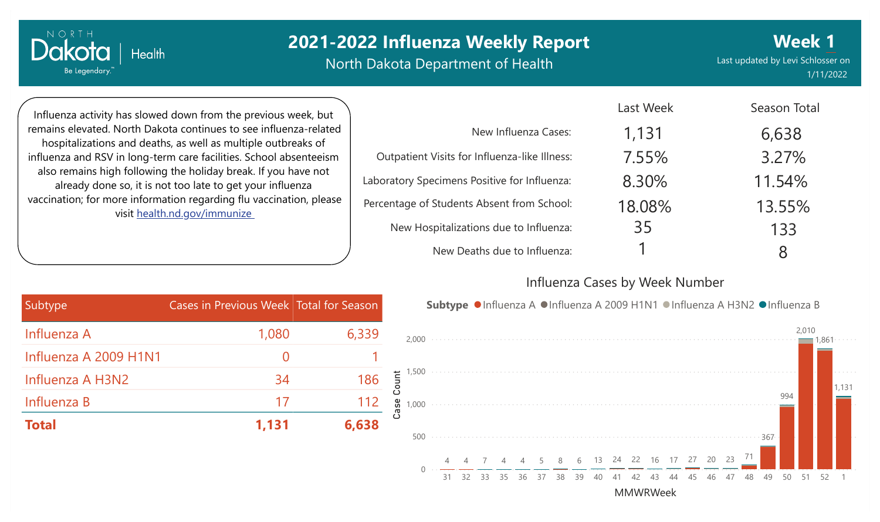North Dakota Department of Health

Last updated by Levi Schlosser on 1/11/2022 **Week 1**

Influenza activity has slowed down from the previous week, but remains elevated. North Dakota continues to see influenza-related hospitalizations and deaths, as well as multiple outbreaks of influenza and RSV in long-term care facilities. School absenteeism also remains high following the holiday break. If you have not already done so, it is not too late to get your influenza vaccination; for more information regarding flu vaccination, please visit [health.nd.gov/immunize](http://health.nd.gov/immunize)

**Health** 

Dakota

Be Legendary.

|                                               | Last Week | Season Total |
|-----------------------------------------------|-----------|--------------|
| New Influenza Cases:                          | 1,131     | 6,638        |
| Outpatient Visits for Influenza-like Illness: | 7.55%     | 3.27%        |
| Laboratory Specimens Positive for Influenza:  | 8.30%     | 11.54%       |
| Percentage of Students Absent from School:    | 18.08%    | 13.55%       |
| New Hospitalizations due to Influenza:        | 35        | 133          |
| New Deaths due to Influenza:                  |           | 8            |

#### Influenza Cases by Week Number

| Subtype <sub>r</sub>  | Cases in Previous Week Total for Season |       |
|-----------------------|-----------------------------------------|-------|
| Influenza A           | 1,080                                   | 6,339 |
| Influenza A 2009 H1N1 |                                         |       |
| Influenza A H3N2      | 34                                      | 186   |
| Influenza B           | 17                                      | 112   |
| <b>Total</b>          | 1,131                                   | 6,638 |

Subtype ●Influenza A ●Influenza A 2009 H1N1 ●Influenza A H3N2 ●Influenza B

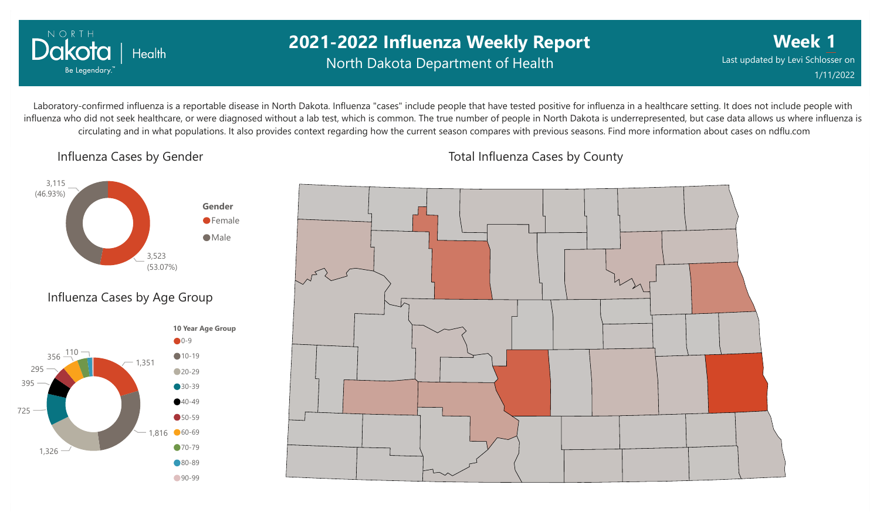

## **2021-2022 Influenza Weekly Report** North Dakota Department of Health

**Week 1** Last updated by Levi Schlosser on 1/11/2022

Laboratory-confirmed influenza is a reportable disease in North Dakota. Influenza "cases" include people that have tested positive for influenza in a healthcare setting. It does not include people with influenza who did not seek healthcare, or were diagnosed without a lab test, which is common. The true number of people in North Dakota is underrepresented, but case data allows us where influenza is circulating and in what populations. It also provides context regarding how the current season compares with previous seasons. Find more information about cases on ndflu.com

Influenza Cases by Gender





Total Influenza Cases by County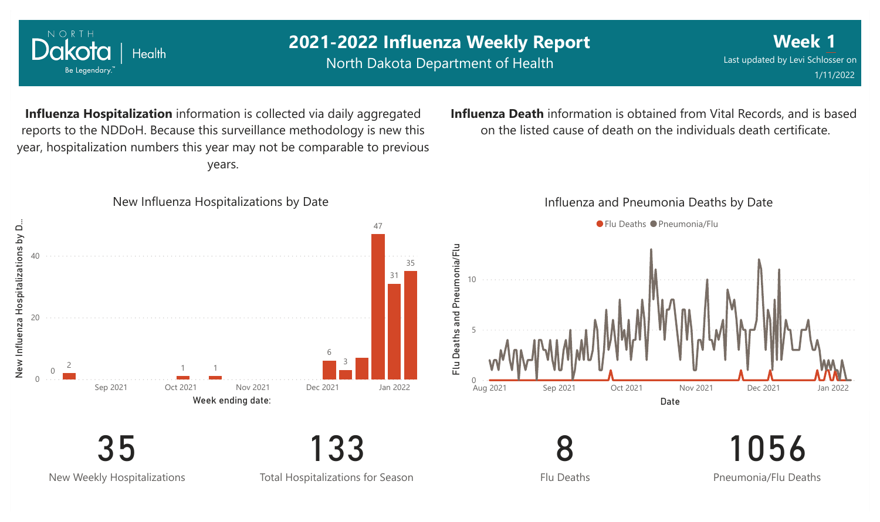

New Weekly Hospitalizations

NORTH

Health

Total Hospitalizations for Season

Flu Deaths

Pneumonia/Flu Deaths

**Week 1**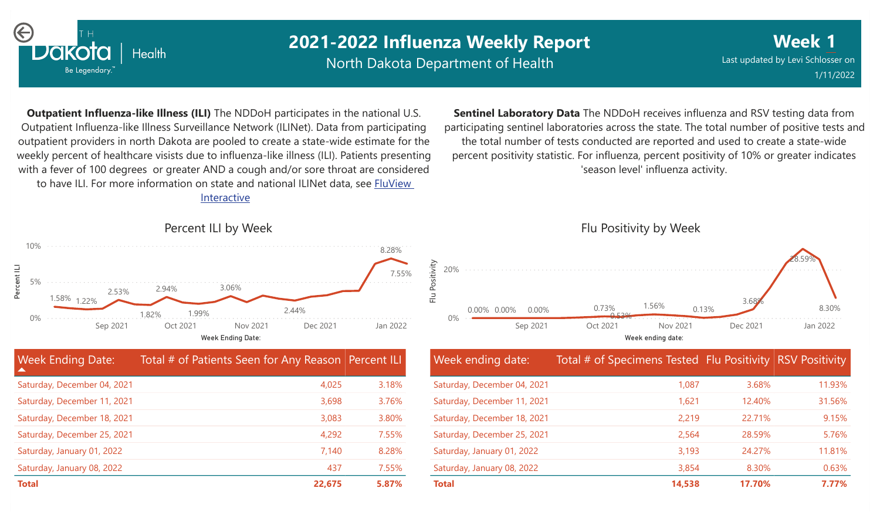

North Dakota Department of Health

**Week 1** Last updated by Levi Schlosser on 1/11/2022

**Outpatient Influenza-like Illness (ILI)** The NDDoH participates in the national U.S. Outpatient Influenza-like Illness Surveillance Network (ILINet). Data from participating outpatient providers in north Dakota are pooled to create a state-wide estimate for the weekly percent of healthcare visists due to influenza-like illness (ILI). Patients presenting with a fever of 100 degrees or greater AND a cough and/or sore throat are considered to have ILI. For more information [on state and national ILINet data, see FluView](http://fluview%20interactive/)

Interactive



| <b>Week Ending Date:</b>    | Total # of Patients Seen for Any Reason Percent ILI |       |
|-----------------------------|-----------------------------------------------------|-------|
| Saturday, December 04, 2021 | 4,025                                               | 3.18% |
| Saturday, December 11, 2021 | 3,698                                               | 3.76% |
| Saturday, December 18, 2021 | 3,083                                               | 3.80% |
| Saturday, December 25, 2021 | 4,292                                               | 7.55% |
| Saturday, January 01, 2022  | 7,140                                               | 8.28% |
| Saturday, January 08, 2022  | 437                                                 | 7.55% |
| <b>Total</b>                | 22,675                                              | 5.87% |

**Sentinel Laboratory Data** The NDDoH receives influenza and RSV testing data from participating sentinel laboratories across the state. The total number of positive tests and the total number of tests conducted are reported and used to create a state-wide percent positivity statistic. For influenza, percent positivity of 10% or greater indicates 'season level' influenza activity.

0% 20% Week ending date: Sep 2021 Oct 2021 Nov 2021 Dec 2021 Jan 2022  $0.00\%$   $0.00\%$   $0.00\%$   $0.73\%$   $1.56\%$   $0.13\%$   $0.13\%$   $0.00\%$   $0.00\%$   $0.00\%$   $0.00\%$ 28.59%  $0.73\%$   $1.56\%$   $0.13\%$ 1.56% 0.53% 0.00% 3.68% 0.00% 0.00%

| Week ending date:           | Total # of Specimens Tested Flu Positivity RSV Positivity |        |        |
|-----------------------------|-----------------------------------------------------------|--------|--------|
| Saturday, December 04, 2021 | 1,087                                                     | 3.68%  | 11.93% |
| Saturday, December 11, 2021 | 1,621                                                     | 12.40% | 31.56% |
| Saturday, December 18, 2021 | 2,219                                                     | 22.71% | 9.15%  |
| Saturday, December 25, 2021 | 2,564                                                     | 28.59% | 5.76%  |
| Saturday, January 01, 2022  | 3,193                                                     | 24.27% | 11.81% |
| Saturday, January 08, 2022  | 3,854                                                     | 8.30%  | 0.63%  |
| <b>Total</b>                | 14,538                                                    | 17.70% | 7.77%  |

#### Flu Positivity by Week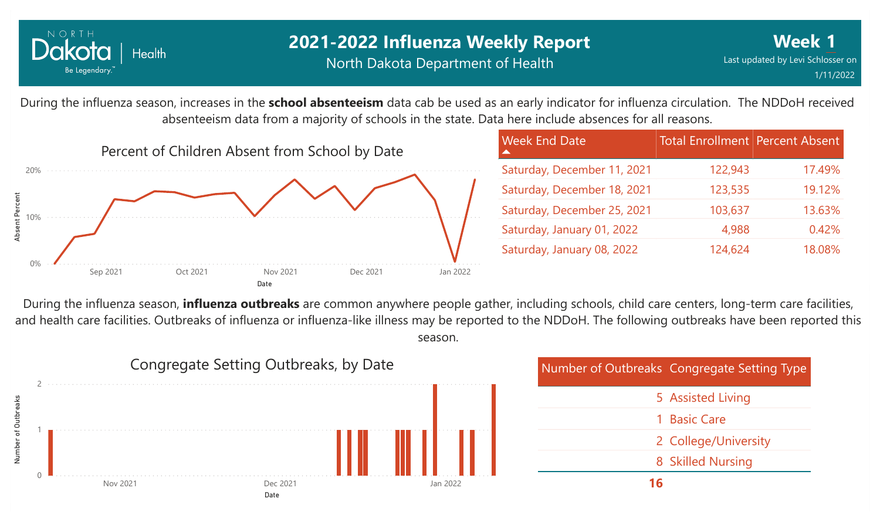

During the influenza season, increases in the **school absenteeism** data cab be used as an early indicator for influenza circulation. The NDDoH received absenteeism data from a majority of schools in the state. Data here include absences for all reasons.



| <b>Week End Date</b>        | <b>Total Enrollment Percent Absent</b> |        |
|-----------------------------|----------------------------------------|--------|
| Saturday, December 11, 2021 | 122,943                                | 17.49% |
| Saturday, December 18, 2021 | 123,535                                | 19.12% |
| Saturday, December 25, 2021 | 103,637                                | 13.63% |
| Saturday, January 01, 2022  | 4,988                                  | 0.42%  |
| Saturday, January 08, 2022  | 124,624                                | 18.08% |

During the influenza season, **influenza outbreaks** are common anywhere people gather, including schools, child care centers, long-term care facilities, and health care facilities. Outbreaks of influenza or influenza-like illness may be reported to the NDDoH. The following outbreaks have been reported this season.



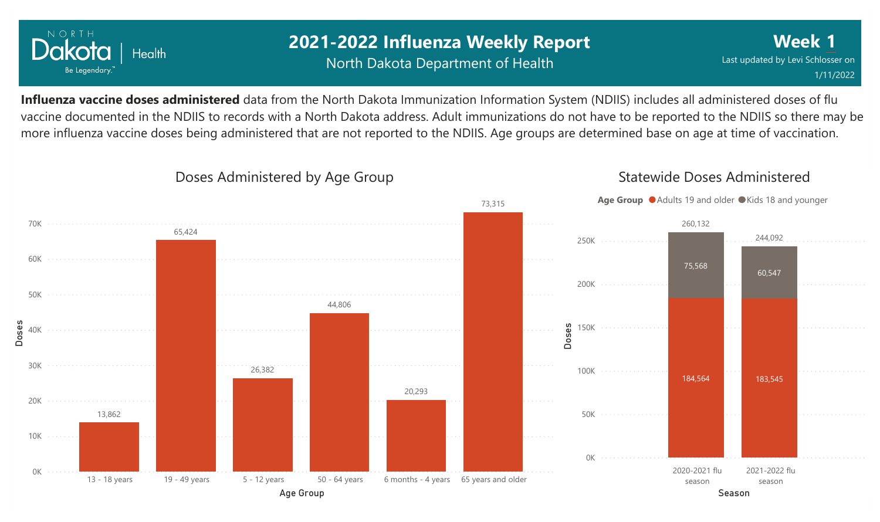

## **2021-2022 Influenza Weekly Report** North Dakota Department of Health

**Week 1** Last updated by Levi Schlosser on 1/11/2022

**Influenza vaccine doses administered** data from the North Dakota Immunization Information System (NDIIS) includes all administered doses of flu vaccine documented in the NDIIS to records with a North Dakota address. Adult immunizations do not have to be reported to the NDIIS so there may be more influenza vaccine doses being administered that are not reported to the NDIIS. Age groups are determined base on age at time of vaccination.



### Doses Administered by Age Group

### Statewide Doses Administered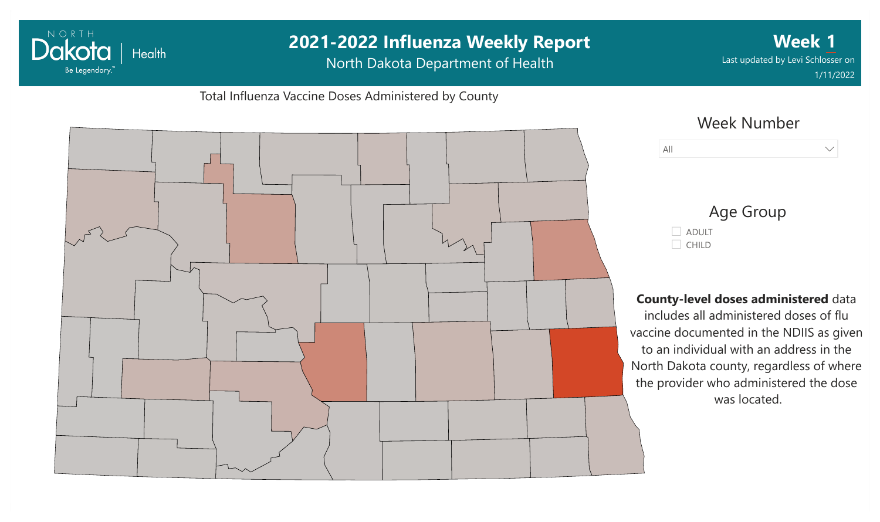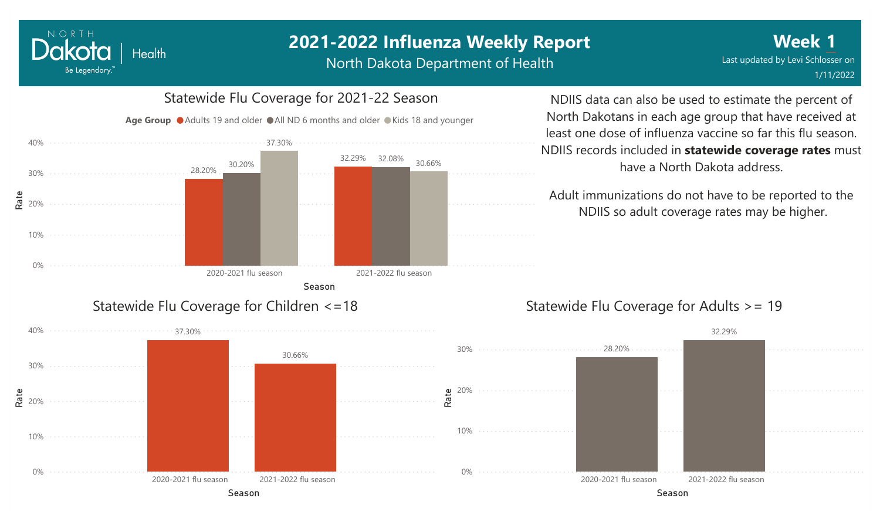#### NORTH Dakota Health Be Legendary.

# **2021-2022 Influenza Weekly Report**

North Dakota Department of Health



NDIIS data can also be used to estimate the percent of North Dakotans in each age group that have received at least one dose of influenza vaccine so far this flu season. NDIIS records included in **statewide coverage rates** must have a North Dakota address.

Adult immunizations do not have to be reported to the NDIIS so adult coverage rates may be higher.

## Statewide Flu Coverage for Adults >= 19